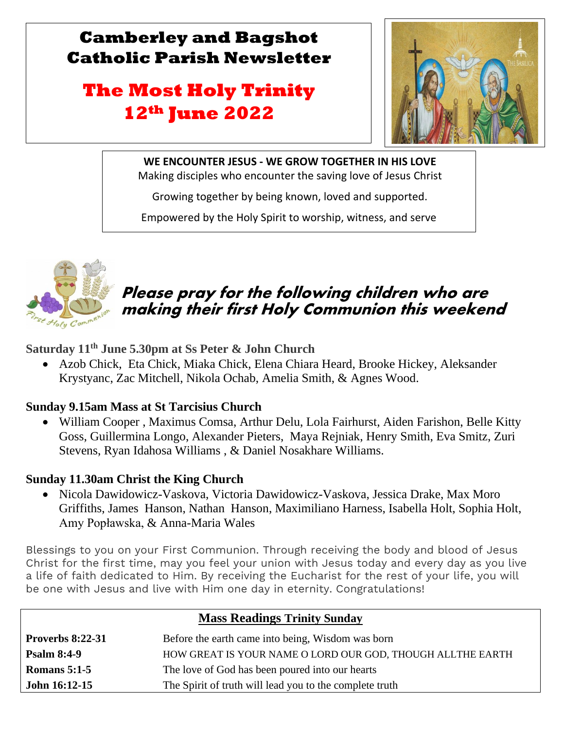## **Camberley and Bagshot Catholic Parish Newsletter**

# **The Most Holy Trinity 12th June 2022**



**WE ENCOUNTER JESUS - WE GROW TOGETHER IN HIS LOVE** Making disciples who encounter the saving love of Jesus Christ

Growing together by being known, loved and supported.

Empowered by the Holy Spirit to worship, witness, and serve



l

 $\mathbb{R}$ 

## Please pray for the following children who are making their first Holy Communion this weekend

**Saturday 11th June 5.30pm at Ss Peter & John Church**

• Azob Chick, Eta Chick, Miaka Chick, Elena Chiara Heard, Brooke Hickey, Aleksander Krystyanc, Zac Mitchell, Nikola Ochab, Amelia Smith, & Agnes Wood.

## **Sunday 9.15am Mass at St Tarcisius Church**

• William Cooper , Maximus Comsa, Arthur Delu, Lola Fairhurst, Aiden Farishon, Belle Kitty Goss, Guillermina Longo, Alexander Pieters, Maya Rejniak, Henry Smith, Eva Smitz, Zuri Stevens, Ryan Idahosa Williams , & Daniel Nosakhare Williams.

## **Sunday 11.30am Christ the King Church**

• Nicola Dawidowicz-Vaskova, Victoria Dawidowicz-Vaskova, Jessica Drake, Max Moro Griffiths, James Hanson, Nathan Hanson, Maximiliano Harness, Isabella Holt, Sophia Holt, Amy Popławska, & Anna-Maria Wales

Blessings to you on your First Communion. Through receiving the body and blood of Jesus Christ for the first time, may you feel your union with Jesus today and every day as you live a life of faith dedicated to Him. By receiving the Eucharist for the rest of your life, you will be one with Jesus and live with Him one day in eternity. Congratulations!

| <b>Mass Readings Trinity Sunday</b> |                                                            |  |  |
|-------------------------------------|------------------------------------------------------------|--|--|
| <b>Proverbs 8:22-31</b>             | Before the earth came into being, Wisdom was born          |  |  |
| <b>Psalm 8:4-9</b>                  | HOW GREAT IS YOUR NAME O LORD OUR GOD, THOUGH ALLTHE EARTH |  |  |
| Romans $5:1-5$                      | The love of God has been poured into our hearts            |  |  |
| <b>John 16:12-15</b>                | The Spirit of truth will lead you to the complete truth    |  |  |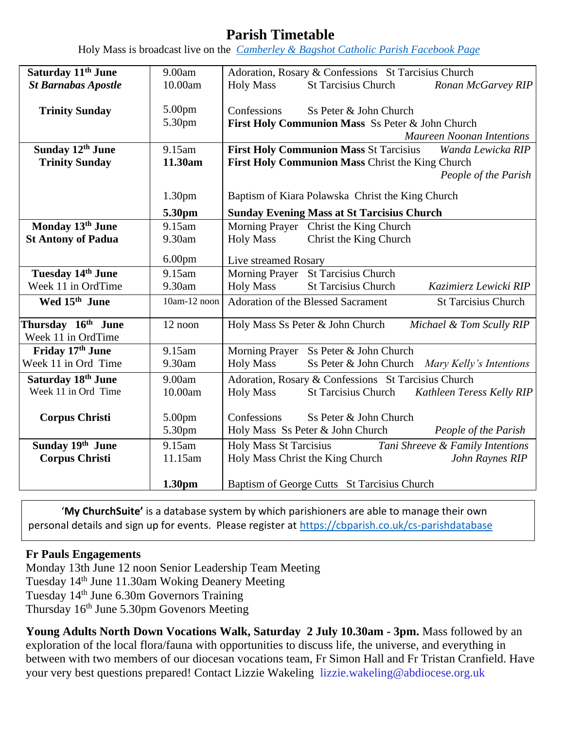## **Parish Timetable**

Holy Mass is broadcast live on the *[Camberley & Bagshot Catholic Parish Facebook Page](https://www.facebook.com/Camberley-Bagshot-Catholic-Parish-102099478101801/)*

| Saturday 11 <sup>th</sup> June | 9.00am             | Adoration, Rosary & Confessions St Tarcisius Church                     |  |  |
|--------------------------------|--------------------|-------------------------------------------------------------------------|--|--|
| <b>St Barnabas Apostle</b>     | 10.00am            | <b>Holy Mass</b><br><b>St Tarcisius Church</b><br>Ronan McGarvey RIP    |  |  |
|                                |                    |                                                                         |  |  |
| <b>Trinity Sunday</b>          | 5.00pm             | Confessions<br>Ss Peter & John Church                                   |  |  |
|                                | 5.30pm             | First Holy Communion Mass Ss Peter & John Church                        |  |  |
|                                |                    | <b>Maureen Noonan Intentions</b>                                        |  |  |
| Sunday 12th June               | 9.15am             | <b>First Holy Communion Mass St Tarcisius</b><br>Wanda Lewicka RIP      |  |  |
| <b>Trinity Sunday</b>          | 11.30am            | First Holy Communion Mass Christ the King Church                        |  |  |
|                                |                    | People of the Parish                                                    |  |  |
|                                | 1.30 <sub>pm</sub> | Baptism of Kiara Polawska Christ the King Church                        |  |  |
|                                | 5.30pm             | <b>Sunday Evening Mass at St Tarcisius Church</b>                       |  |  |
| Monday 13th June               | 9.15am             | Morning Prayer Christ the King Church                                   |  |  |
| <b>St Antony of Padua</b>      | 9.30am             | Christ the King Church<br><b>Holy Mass</b>                              |  |  |
|                                | 6.00 <sub>pm</sub> | Live streamed Rosary                                                    |  |  |
| Tuesday 14th June              | 9.15am             | Morning Prayer St Tarcisius Church                                      |  |  |
| Week 11 in OrdTime             | 9.30am             | <b>St Tarcisius Church</b><br><b>Holy Mass</b><br>Kazimierz Lewicki RIP |  |  |
| Wed 15 <sup>th</sup> June      | 10am-12 noon       | Adoration of the Blessed Sacrament<br><b>St Tarcisius Church</b>        |  |  |
| Thursday 16th June             | 12 noon            | Holy Mass Ss Peter & John Church<br>Michael & Tom Scully RIP            |  |  |
| Week 11 in OrdTime             |                    |                                                                         |  |  |
| Friday 17th June               | 9.15am             | <b>Morning Prayer</b><br>Ss Peter & John Church                         |  |  |
| Week 11 in Ord Time            | 9.30am             | <b>Holy Mass</b><br>Ss Peter & John Church Mary Kelly's Intentions      |  |  |
| Saturday 18 <sup>th</sup> June | 9.00am             | Adoration, Rosary & Confessions St Tarcisius Church                     |  |  |
| Week 11 in Ord Time            | 10.00am            | <b>Holy Mass</b><br>St Tarcisius Church Kathleen Teress Kelly RIP       |  |  |
|                                |                    |                                                                         |  |  |
| <b>Corpus Christi</b>          | 5.00pm             | Confessions<br>Ss Peter & John Church                                   |  |  |
|                                | 5.30pm             | Holy Mass Ss Peter & John Church<br>People of the Parish                |  |  |
| Sunday 19th June               | 9.15am             | <b>Holy Mass St Tarcisius</b><br>Tani Shreeve & Family Intentions       |  |  |
| <b>Corpus Christi</b>          | 11.15am            | Holy Mass Christ the King Church<br>John Raynes RIP                     |  |  |
|                                |                    |                                                                         |  |  |
|                                | 1.30 <sub>pm</sub> | Baptism of George Cutts St Tarcisius Church                             |  |  |

'**My ChurchSuite'** is a database system by which parishioners are able to manage their own personal details and sign up for events. Please register at<https://cbparish.co.uk/cs-parishdatabase>

#### **Fr Pauls Engagements**

Monday 13th June 12 noon Senior Leadership Team Meeting Tuesday 14th June 11.30am Woking Deanery Meeting Tuesday 14th June 6.30m Governors Training Thursday 16th June 5.30pm Govenors Meeting

**Young Adults North Down Vocations Walk, Saturday 2 July 10.30am - 3pm.** Mass followed by an exploration of the local flora/fauna with opportunities to discuss life, the universe, and everything in between with two members of our diocesan vocations team, Fr Simon Hall and Fr Tristan Cranfield. Have your very best questions prepared! Contact Lizzie Wakeling lizzie.wakeling@abdiocese.org.uk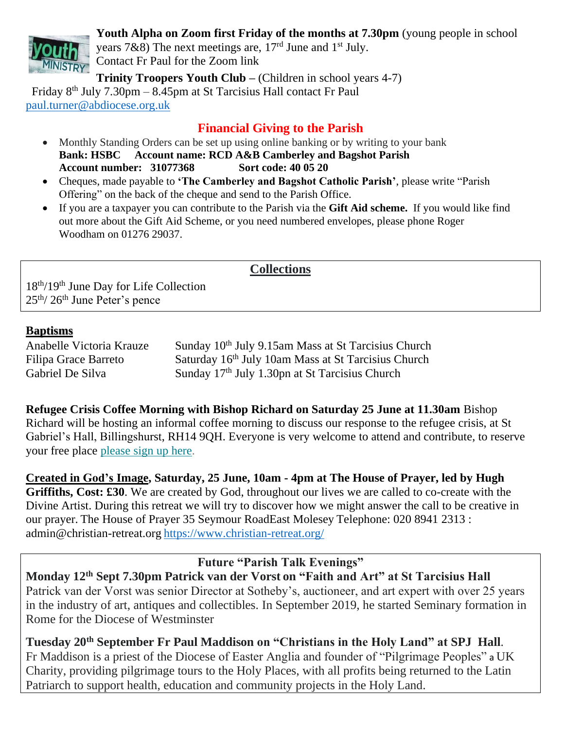

**Youth Alpha on Zoom first Friday of the months at 7.30pm** (young people in school

years 7&8) The next meetings are,  $17<sup>rd</sup>$  June and  $1<sup>st</sup>$  July. Contact Fr Paul for the Zoom link

**Trinity Troopers Youth Club –** (Children in school years 4-7)

Friday  $8<sup>th</sup>$  July 7.30pm – 8.45pm at St Tarcisius Hall contact Fr Paul [paul.turner@abdiocese.org.uk](mailto:paul.turner@abdiocese.org.uk) 

## **Financial Giving to the Parish**

- Monthly Standing Orders can be set up using online banking or by writing to your bank **Bank: HSBC Account name: RCD A&B Camberley and Bagshot Parish Account number: 31077368 Sort code: 40 05 20**
- Cheques, made payable to **'The Camberley and Bagshot Catholic Parish'**, please write "Parish Offering" on the back of the cheque and send to the Parish Office.
- If you are a taxpayer you can contribute to the Parish via the **Gift Aid scheme.** If you would like find out more about the Gift Aid Scheme, or you need numbered envelopes, please phone Roger Woodham on 01276 29037.

## **Collections**

18th/19th June Day for Life Collection 25th/ 26th June Peter's pence

#### **Baptisms**

| Anabelle Victoria Krauze | $S_1$ |
|--------------------------|-------|
| Filipa Grace Barreto     | $S_i$ |
| Gabriel De Silva         | $S_1$ |

anday  $10<sup>th</sup>$  July 9.15am Mass at St Tarcisius Church Filipa Grace Barreto Saturday 16<sup>th</sup> July 10am Mass at St Tarcisius Church unday  $17<sup>th</sup>$  July 1.30pn at St Tarcisius Church

**Refugee Crisis Coffee Morning with Bishop Richard on Saturday 25 June at 11.30am** Bishop Richard will be hosting an informal coffee morning to discuss our response to the refugee crisis, at St Gabriel's Hall, Billingshurst, RH14 9QH. Everyone is very welcome to attend and contribute, to reserve your free place [please](https://eur02.safelinks.protection.outlook.com/?url=https%3A%2F%2Fabdiocese.us9.list-manage.com%2Ftrack%2Fclick%3Fu%3D6ad3715cf61665df736c264a6%26id%3D1fc5c700d0%26e%3D1f942c9333&data=05%7C01%7Cpaul.turner%40abdiocese.org.uk%7C1373acbc2f61448a184e08da3434e977%7C2bf5dbc217ef4efca1c9ab2dc4edefd0%7C0%7C0%7C637879699103419213%7CUnknown%7CTWFpbGZsb3d8eyJWIjoiMC4wLjAwMDAiLCJQIjoiV2luMzIiLCJBTiI6Ik1haWwiLCJXVCI6Mn0%3D%7C3000%7C%7C%7C&sdata=f396MJNMJkyikoY3LHLNQ7DKZgZk9HHi3ESlHy2S0PI%3D&reserved=0) sign up here.

**[Created](https://eur02.safelinks.protection.outlook.com/?url=https%3A%2F%2Fabdiocese.us9.list-manage.com%2Ftrack%2Fclick%3Fu%3D6ad3715cf61665df736c264a6%26id%3Db8e9b7150e%26e%3D1f942c9333&data=05%7C01%7Cpaul.turner%40abdiocese.org.uk%7C5a28b8b349b84ab78e3108da3f3505e7%7C2bf5dbc217ef4efca1c9ab2dc4edefd0%7C0%7C0%7C637891794205794858%7CUnknown%7CTWFpbGZsb3d8eyJWIjoiMC4wLjAwMDAiLCJQIjoiV2luMzIiLCJBTiI6Ik1haWwiLCJXVCI6Mn0%3D%7C3000%7C%7C%7C&sdata=ZuAjzFk7TnXgXScNY0kWCJbff6BDsdBD3KOwgRXtWMw%3D&reserved=0) in God's Image, Saturday, 25 June, 10am - 4pm at The House of Prayer, led by Hugh Griffiths, Cost: £30**. We are created by God, throughout our lives we are called to co-create with the Divine Artist. During this retreat we will try to discover how we might answer the call to be creative in our prayer. The House of Prayer 35 Seymour RoadEast Molesey Telephone: 020 8941 2313 : admin@christian-retreat.org <https://www.christian-retreat.org/>

**Future "Parish Talk Evenings"**

**Monday 12th Sept 7.30pm Patrick van der Vorst on "Faith and Art" at St Tarcisius Hall** Patrick van der Vorst was senior Director at Sotheby's, auctioneer, and art expert with over 25 years in the industry of art, antiques and collectibles. In September 2019, he started Seminary formation in Rome for the Diocese of Westminster

**Tuesday 20th September Fr Paul Maddison on "Christians in the Holy Land" at SPJ Hall**. Fr Maddison is a priest of the Diocese of Easter Anglia and founder of "Pilgrimage Peoples" a UK Charity, providing pilgrimage tours to the Holy Places, with all profits being returned to the Latin Patriarch to support health, education and community projects in the Holy Land.